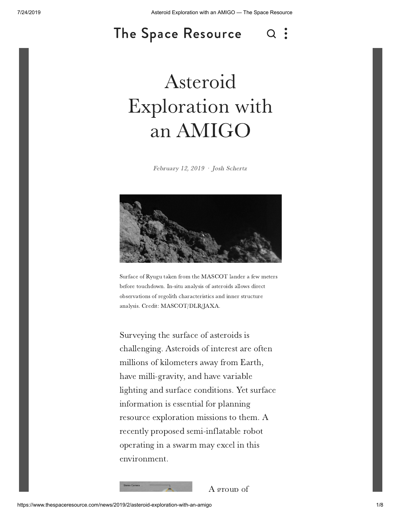#### The Space [Resource](https://www.thespaceresource.com/) $Q$ : ce nesource

# Asteroid l<br>with nsterond<br>ploration with<br>an AMIGO

February 12, 2019 · Josh [Schertz](https://www.thespaceresource.com/news?author=573e0decf8baf3065e75efdf)



Surface of Ryugu taken from the MASCOT lander a few meters<br>before touchdown. In-situ analysis of asteroids allows direct before touchdown. In-situ analysis of asteroids allows direc<br>observations of regolith characteristics and inner structure observations of regolith characteristics and inner structure analysis. Credit: MASCOT/DLR/JAXA.

surveying the surface of asteroids is Surveying the surface of asteroids is<br>challenging. Asteroids of interest are often<br>millions of kilometers away from Earth. millions of kilometers away from Ear<br>have milli-gravity, and have variable have milli-gravity, and have variable<br>lighting and surface conditions. Yet surface lighting and surface conditions. Yet s<br>information is essential for planning mation is essential for planning<br>resource exploration missions to them. A<br>recently proposed semi-inflatable robot information is essential for planning recently proposed semi-inflatable robo<br>operating in a swarm may excel in this operating in a swarm may excel in this environment.

 $\frac{1}{2}$  is the set of  $\frac{1}{2}$  f  $\frac{1}{2}$  f  $\frac{1}{2}$  f  $\frac{1}{2}$  f  $\frac{1}{2}$  f  $\frac{1}{2}$  f  $\frac{1}{2}$  f  $\frac{1}{2}$  f  $\frac{1}{2}$  f  $\frac{1}{2}$  f  $\frac{1}{2}$  f  $\frac{1}{2}$  f  $\frac{1}{2}$  f  $\frac{1}{2}$  f  $\frac{1}{2}$  f  $\frac{1}{2}$  f  $\frac{1$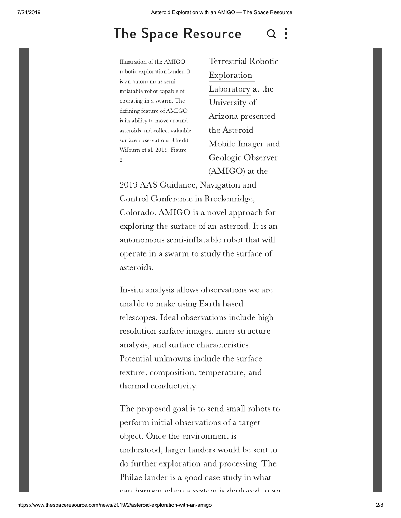### The Space [Resource](https://www.thespaceresource.com/)  $\Omega$

1<br>Illustration of the AMIGO Illustration of the AMIGO<br>robotic exploration lander. It<br>is an autonomous semiis an autonomous semiis an autonomous semi-<br>inflatable robot capable of<br>operating in a swarm. The operating in a swarm. The<br>defining feature of AMIGO defining feature of AMIGO<br>is its ability to move around is its ability to move around<br>asteroids and collect valuable asteroids and collect valuable<br>surface observations. Credit: surface observations. Credit: surface observations. Credi<sup>.</sup><br>Wilburn et al. 2019, Figure

man<br>Terrestrial Ro[botic](https://www.thespaceresource.com/search) Exploration Exploration<br>Laboratory at the<br>University of University of University of<br>Arizona presented<br>the Asteroid the Asteroid the Asteroid<br>Mobile Imager and<br>Geologic Observer Geologic Observ<br>(AMIGO) at the

 AAS Guidance, Navigation and Control Conference in Breckenridge, Control Conference in Breckenridge,<br>Colorado. AMIGO is a novel approach for<br>exploring the surface of an asteroid. It is an Control Conference in Breckenridge, exploring the surface of an asteroid. It is an<br>autonomous semi-inflatable robot that will autonomous semi-inflatable robot that wil<br>operate in a swarm to study the surface of operate in a swarm to study the surface of asteroids.

 analysis allows observations we are unable to make using Earth based unable to make using Earth based unable to make using Earth based<br>telescopes. Ideal observations include high<br>resolution surface images, inner structure resolution surface images, inner stru<br>analysis, and surface characteristics. enalysis, and surface characteristics.<br>Potential unknowns include the surface Potential unknowns include the surface<br>texture, composition, temperature, and texture, composition,<br>thermal conductivity.

 proposed goal is to send small robots to perform initial observations of <sup>a</sup> target perform initial observations of a<br>object. Once the environment is object. Once the environment is object. Once the environment is<br>understood, larger landers would be sent to<br>do further exploration and processing. The Philae lander is <sup>a</sup> good case study in what Philae lander is a good case study in what<br>can happen when a system is deployed to an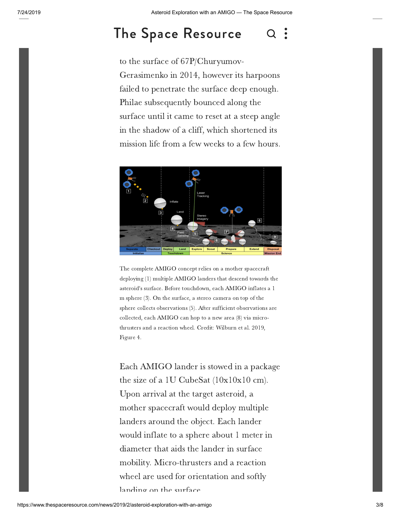# The Space [Resource](https://www.thespaceresource.com/) a

to the surface of 67P/Churyumovto the surface of 67P/Churyumov-<br>Gerasimenko in 2014, however its harpoons<br>failed to penetrate the surface deep enough. Failed to penetrate the surface deep eno<br>Philae subsequently bounced along the Philae subsequently bounced along the<br>surface until it came to reset at a steep angle surface until it came to reset at a steep angle<br>in the shadow of a cliff, which shortened its in the shadow of a cliff, which shortened its<br>mission life from a few weeks to a few hours.



 complete AMIGO concept relies on <sup>a</sup> mother spacecraft deploying (1) multiple AMIGO landers that descend towards the deploying (1) multiple AMIGO landers that descend towards the<br>asteroid's surface. Before touchdown, each AMIGO inflates a 1 asteroid's surface. Before touchdown, each AMIGO inflates<br>m sphere (3). On the surface, a stereo camera on top of the m sphere (3). On the surface, a stereo camera on top of the<br>sphere collects observations (5). After sufficient observations are sphere collects observations (5). After sufficient observations<br>collected, each AMIGO can hop to a new area (8) via microcollected, each AMIGO can hop to a new area (8) via micro<br>thrusters and a reaction wheel. Credit: Wilburn et al. 2019. thrusters<br>Figure 4.

 AMIGO lander is stowed in <sup>a</sup> package the size of <sup>a</sup> 1U CubeSat (10x10x10 cm). the size of a 1U CubeSat (10x10x10 of<br>Upon arrival at the target asteroid, a Upon arrival at the target asteroid, a<br>mother spacecraft would deploy multiple mother spacecraft would deploy multip<br>landers around the object. Each lander would inflate to <sup>a</sup> sphere about <sup>1</sup> meter in would inflate to a sphere about 1 meter<br>diameter that aids the lander in surface diameter that aids the lander in surface<br>mobility. Micro-thrusters and a reaction mobility. Micro-thrusters and a reaction<br>wheel are used for orientation and softly wheel are used for orie<mark>.</mark><br>landing on the surface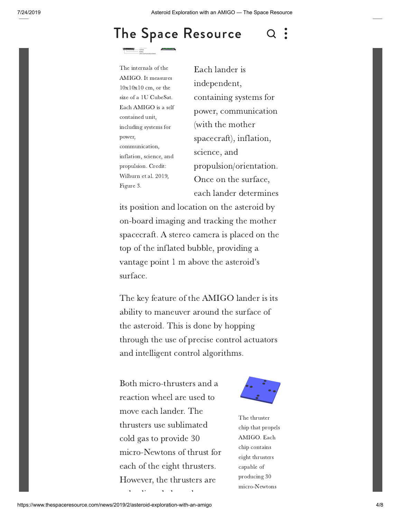## The Space [Resource](https://www.thespaceresource.com/)

 $\overline{a}$ The internals of the The internals of the<br>AMIGO. It measures<br> $10x10x10$  cm, or the  $10x10x10$  cm, or the 10x10x10 cm, or the<br>size of a 1U CubeSat. size of a 1U CubeSat.<br>Each AMIGO is a self<br>contained unit. contained unit, contained unit,<br>including systems for power, communication, communication,<br>inflation, science, and<br>propulsion. Credit: propulsion. Credit: propulsion. Credit:<br>Wilburn et al. 2019,<br>Figure 3.

ender is die konder is die konder is sette van die konder is die konder van die konder is die sel sowe is die<br>In die konder is die konder is die konder is die konder is die te sel sowe is die te sel sowe is die sel sowe<br>In independent, independent,<br>containing systems for<br>power, communication power, communie<br>(with the mother (with the mother) with the mother<br>spacecraft), inflation,<br>science, and science, and propulsion/orientatio<br>Once on the surface. Once on the surface,<br>each lander determines

 position and location on the asteroid by on-board imaging and tracking the mother on-board imaging and tracking the mother<br>spacecraft. A stereo camera is placed on the spacecraft. A stereo camera is placed of<br>top of the inflated bubble, providing a top of the inflated bubble, providing a<br>vantage point 1 m above the asteroid's vantage point 1 m above the asteroid's surface.

The key feature of the AMIGO lander is its<br>ability to maneuver around the surface of the asteroid. This is done by hopping<br>the asteroid. This is done by hopping the asteroid. This is done by hopping the asteroid. This is done by hopping<br>through the use of precise control actuators<br>and intelligent control algorithms.

 micro-thrusters and <sup>a</sup> reaction wheel are used to reaction wheel are used<br>move each lander. The move each lander. The move each lander. The<br>thrusters use sublimated<br>cold gas to provide 30 cold gas to provide 30 cold gas to provide 30<br>
micro-Newtons of thrust for<br>
each of the eight thrusters. each of the eight thrusters.<br>However, the thrusters are However, the thrusters a



m<br>The thruster The thruster<br>chip that propels<br>AMIGO. Each AMIGO. Eac<br>chip contains chip contains chip contains<br>eight thrusters<br>capable of capable of capable of<br>producing 30 micro-Newtons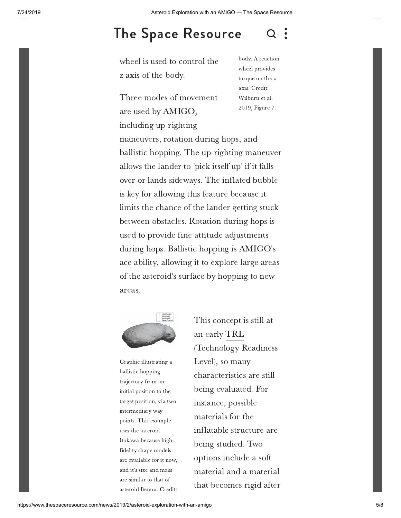#### $\overline{Q}$ The Space [Resource](https://www.thespaceresource.com/)  $\alpha$

is used to control the z axis of the body.

Three modes of movement<br>are used by AMIGO. are used by AMIGO,<br>including up-righting including up-righting

 <sup>A</sup> reaction wheel provides wheel provides wheel provides<br>torque on the z<br>axis. Credit: axis. Credit: axis. Credit:<br>Wilburn et al. 2019, Figure 7.

including up-righting<br>maneuvers, rotation during hops, and maneuvers, rotation during hops, and<br>ballistic hopping. The up-righting maneuver<br>allows the lander to 'pick itself up' if it falls allows the lander to 'pick itself up' if it falls<br>over or lands sideways. The inflated bubble over or lands sideways. The inflated bub<br>is key for allowing this feature because it limits the chance of the lander getting stuck<br>limits the chance of the lander getting stuck limits the chance of the lander getting stuch<br>between obstacles. Rotation during hops is between obstacles. Rotation during hops<br>used to provide fine attitude adjustments used to provide fine attitude adjustments<br>during hops. Ballistic hopping is AMIGO's during hops. Ballistic hopping is AMIGO's<br>ace ability, allowing it to explore large areas ace ability, allowing it to explore large area<br>of the asteroid's surface by hopping to new of the asteroid's surface by hopping to new areas.



**Graphic illustrating a**<br>ballistic hopping ballistic hopping<br>trajectory from an trajectory from an trajectory from an<br>initial position to the<br>target position, via two target position, vi:<br>intermediary way intermediary way intermediary way<br>points. This example<br>uses the asteroid uses the asteroid uses the asteroid<br>Itokawa because high-<br>fidelity shape models fidelity shape models fidelity shape models<br>are available for it now,<br>and it's size and mass and it's size and mass and it's size and mas<br>are similar to that of are similar to that of<br>asteroid Bennu. Credit:<br>will be also also also

 concept is still at an early TRL an early TRL an early <mark>TRL</mark><br>(Technology Readiness<br>Level), so many Level), so many Level), so many<br>characteristics are still<br>being evaluated. For being evaluated. I<br>instance, possible instance, possible<br>materials for the materials for the materials for the<br>inflatable structure are<br>being studied. Two being studied. Two<br>options include a soft options include a soft options include a soft<br>material and a material<br>that becomes rigid after that becomes rigid af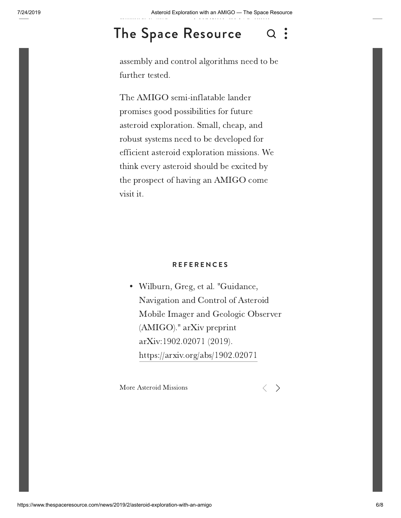### $S_{\text{R}}$ The Space [Resource](https://www.thespaceresource.com/)

exteembly and control algorithms need to [be](https://www.thespaceresource.com/search)<br>further tested.

assembly

Figure

The AMIGO semi-inflatable lander The AMIGO semi-inflatable lander<br>promises good possibilities for future<br>asteroid exploration. Small, cheap, and robust systems need to be developed for about systems need to be developed for robust systems need to be developed for<br>efficient asteroid exploration missions. We efficient asteroid exploration missions. We<br>think every asteroid should be excited by think every asteroid should be excited by<br>the prospect of having an AMIGO come the pro<br>visit it.

#### **R E F E R E N C E S**

 Wilburn, Greg, et al. "Guidance, Navigation and Control of Asteroid Navigation and Control of Asteroid<br>Mobile Imager and Geologic Observer Mobile Imager and Geolog<br>(AMIGO)." arXiv preprint (AMIGO)." arXiv preprin<br>arXiv:1902.02071 (2019). arXiv:1902.02071 (2019). https://arxiv.org/abs/1902.02071

More Asteroid Missions

 $\langle \quad \rangle$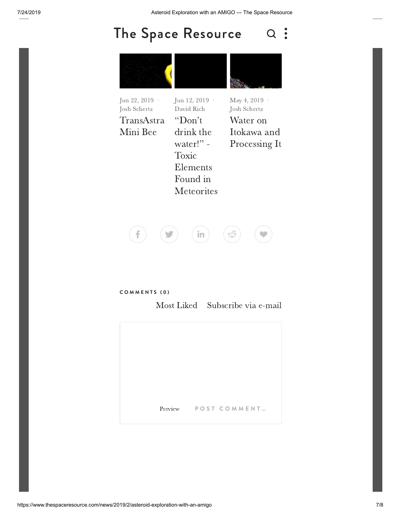## The Space [Resource](https://www.thespaceresource.com/) Q :



| Jun 22, 2019 $\cdot$<br>Josh Schertz | Jun 12, 2019 ·<br>David Rich | May 4, 2019 $\cdot$<br>Josh Schertz |
|--------------------------------------|------------------------------|-------------------------------------|
| TransAstra                           | "Don't"                      | Water on                            |
| Mini Bee                             | drink the                    | Itokawa and                         |
|                                      | water!" -                    | Processing It                       |
|                                      | Toxic                        |                                     |
|                                      | Elements                     |                                     |
|                                      | Found in                     |                                     |
|                                      | <b>Meteorites</b>            |                                     |
|                                      |                              |                                     |



#### **C O M M E N T S ( 0 )** Most

Liked Subscribe via e-mail